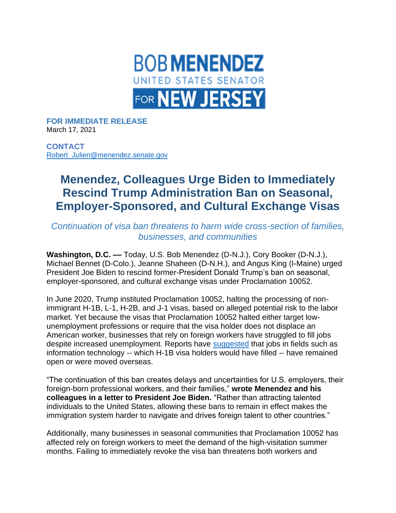

**FOR IMMEDIATE RELEASE** March 17, 2021

**CONTACT** [Robert\\_Julien@menendez.senate.gov](mailto:Robert_Julien@menendez.senate.gov)

## **Menendez, Colleagues Urge Biden to Immediately Rescind Trump Administration Ban on Seasonal, Employer-Sponsored, and Cultural Exchange Visas**

*Continuation of visa ban threatens to harm wide cross-section of families, businesses, and communities*

**Washington, D.C. ––** Today, U.S. Bob Menendez (D-N.J.), Cory Booker (D-N.J.), Michael Bennet (D-Colo.), Jeanne Shaheen (D-N.H.), and Angus King (I-Maine) urged President Joe Biden to rescind former-President Donald Trump's ban on seasonal, employer-sponsored, and cultural exchange visas under Proclamation 10052.

In June 2020, Trump instituted Proclamation 10052, halting the processing of nonimmigrant H-1B, L-1, H-2B, and J-1 visas, based on alleged potential risk to the labor market. Yet because the visas that Proclamation 10052 halted either target lowunemployment professions or require that the visa holder does not displace an American worker, businesses that rely on foreign workers have struggled to fill jobs despite increased unemployment. Reports have [suggested](https://www.wsj.com/articles/ban-on-new-foreign-workers-left-u-s-jobs-unfilled-even-in-covid-downturn-11613409911) that jobs in fields such as information technology -- which H-1B visa holders would have filled -- have remained open or were moved overseas.

"The continuation of this ban creates delays and uncertainties for U.S. employers, their foreign-born professional workers, and their families," **wrote Menendez and his colleagues in a letter to President Joe Biden.** "Rather than attracting talented individuals to the United States, allowing these bans to remain in effect makes the immigration system harder to navigate and drives foreign talent to other countries."

Additionally, many businesses in seasonal communities that Proclamation 10052 has affected rely on foreign workers to meet the demand of the high-visitation summer months. Failing to immediately revoke the visa ban threatens both workers and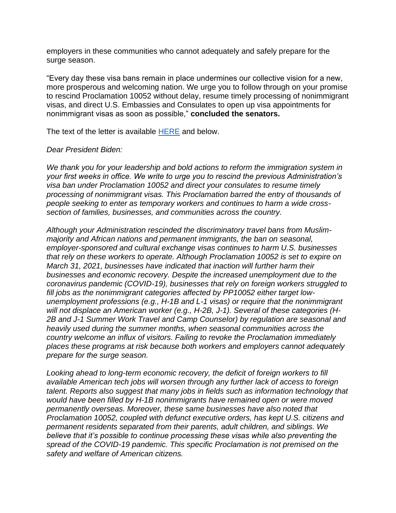employers in these communities who cannot adequately and safely prepare for the surge season.

"Every day these visa bans remain in place undermines our collective vision for a new, more prosperous and welcoming nation. We urge you to follow through on your promise to rescind Proclamation 10052 without delay, resume timely processing of nonimmigrant visas, and direct U.S. Embassies and Consulates to open up visa appointments for nonimmigrant visas as soon as possible," **concluded the senators.**

The text of the letter is available [HERE](https://www.menendez.senate.gov/imo/media/doc/VisaBanLetter.pdf) and below.

## *Dear President Biden:*

*We thank you for your leadership and bold actions to reform the immigration system in your first weeks in office. We write to urge you to rescind the previous Administration's visa ban under Proclamation 10052 and direct your consulates to resume timely processing of nonimmigrant visas. This Proclamation barred the entry of thousands of people seeking to enter as temporary workers and continues to harm a wide crosssection of families, businesses, and communities across the country.* 

*Although your Administration rescinded the discriminatory travel bans from Muslimmajority and African nations and permanent immigrants, the ban on seasonal, employer-sponsored and cultural exchange visas continues to harm U.S. businesses that rely on these workers to operate. Although Proclamation 10052 is set to expire on March 31, 2021, businesses have indicated that inaction will further harm their businesses and economic recovery. Despite the increased unemployment due to the coronavirus pandemic (COVID-19), businesses that rely on foreign workers struggled to fill jobs as the nonimmigrant categories affected by PP10052 either target lowunemployment professions (e.g., H-1B and L-1 visas) or require that the nonimmigrant will not displace an American worker (e.g., H-2B, J-1). Several of these categories (H-2B and J-1 Summer Work Travel and Camp Counselor) by regulation are seasonal and heavily used during the summer months, when seasonal communities across the country welcome an influx of visitors. Failing to revoke the Proclamation immediately places these programs at risk because both workers and employers cannot adequately prepare for the surge season.*

*Looking ahead to long-term economic recovery, the deficit of foreign workers to fill available American tech jobs will worsen through any further lack of access to foreign talent. Reports also suggest that many jobs in fields such as information technology that would have been filled by H-1B nonimmigrants have remained open or were moved permanently overseas. Moreover, these same businesses have also noted that Proclamation 10052, coupled with defunct executive orders, has kept U.S. citizens and permanent residents separated from their parents, adult children, and siblings. We believe that it's possible to continue processing these visas while also preventing the spread of the COVID-19 pandemic. This specific Proclamation is not premised on the safety and welfare of American citizens.*